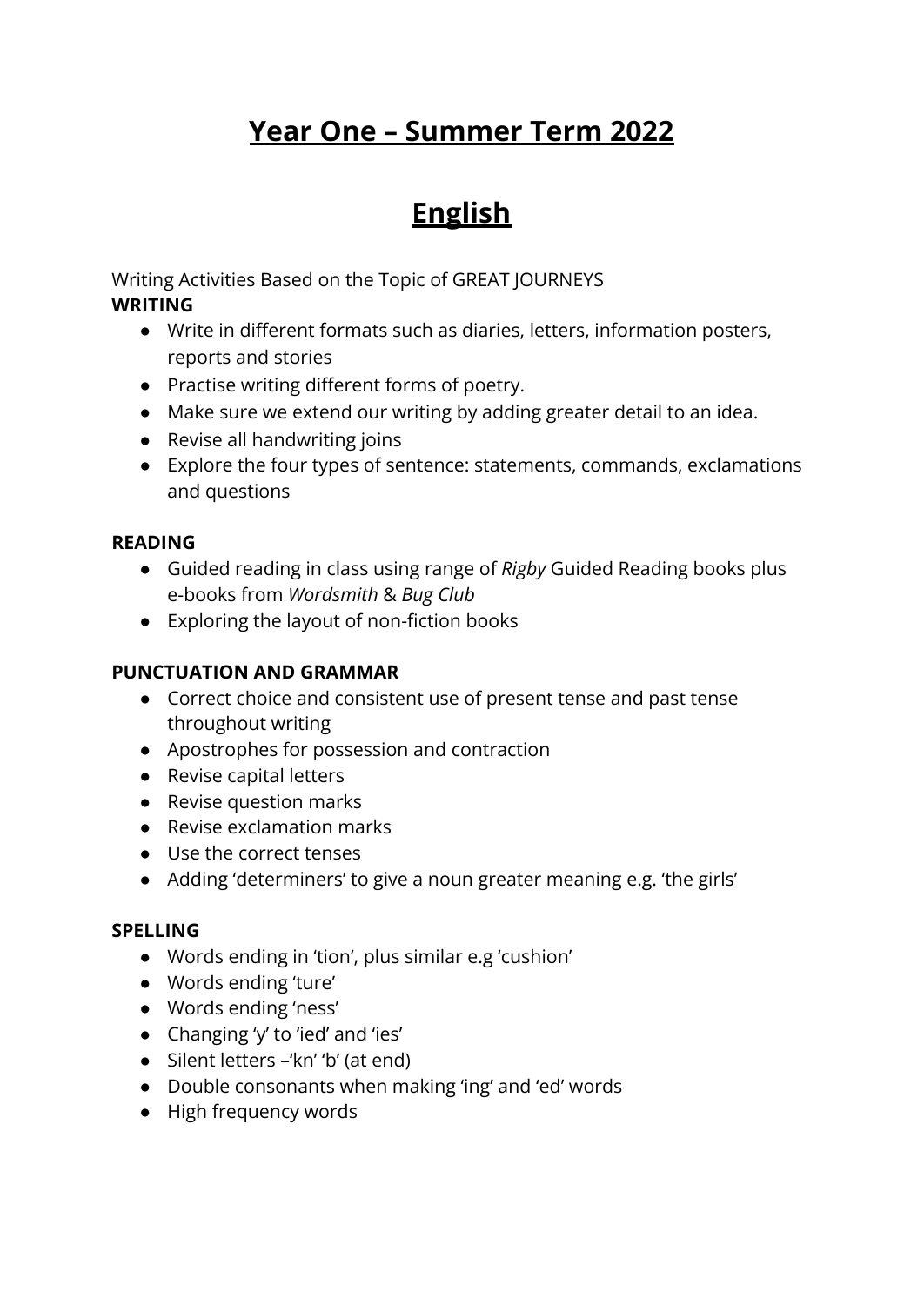# **Year One – Summer Term 2022**

### **English**

Writing Activities Based on the Topic of GREAT JOURNEYS **WRITING**

- Write in different formats such as diaries, letters, information posters, reports and stories
- Practise writing different forms of poetry.
- Make sure we extend our writing by adding greater detail to an idea.
- Revise all handwriting joins
- Explore the four types of sentence: statements, commands, exclamations and questions

#### **READING**

- Guided reading in class using range of *Rigby* Guided Reading books plus e-books from *Wordsmith* & *Bug Club*
- Exploring the layout of non-fiction books

#### **PUNCTUATION AND GRAMMAR**

- Correct choice and consistent use of present tense and past tense throughout writing
- Apostrophes for possession and contraction
- Revise capital letters
- Revise question marks
- Revise exclamation marks
- Use the correct tenses
- Adding 'determiners' to give a noun greater meaning e.g. 'the girls'

#### **SPELLING**

- Words ending in 'tion', plus similar e.g 'cushion'
- Words ending 'ture'
- Words ending 'ness'
- Changing 'y' to 'ied' and 'ies'
- Silent letters –'kn' 'b' (at end)
- Double consonants when making 'ing' and 'ed' words
- High frequency words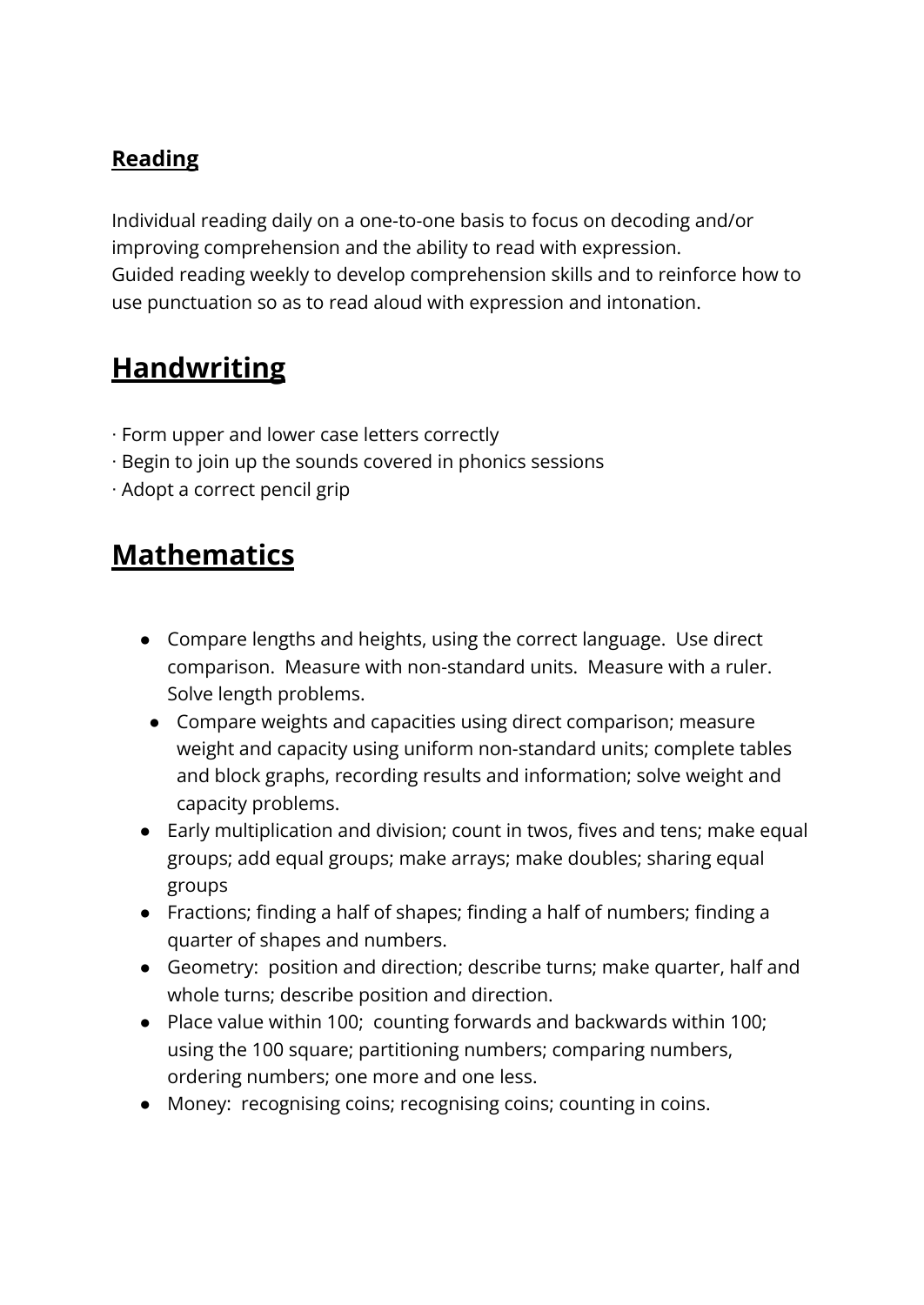#### **Reading**

Individual reading daily on a one-to-one basis to focus on decoding and/or improving comprehension and the ability to read with expression. Guided reading weekly to develop comprehension skills and to reinforce how to use punctuation so as to read aloud with expression and intonation.

### **Handwriting**

- ∙ Form upper and lower case letters correctly
- ∙ Begin to join up the sounds covered in phonics sessions
- ∙ Adopt a correct pencil grip

#### **Mathematics**

- **●** Compare lengths and heights, using the correct language. Use direct comparison. Measure with non-standard units. Measure with a ruler. Solve length problems.
- Compare weights and capacities using direct comparison; measure weight and capacity using uniform non-standard units; complete tables and block graphs, recording results and information; solve weight and capacity problems.
- Early multiplication and division; count in twos, fives and tens; make equal groups; add equal groups; make arrays; make doubles; sharing equal groups
- Fractions; finding a half of shapes; finding a half of numbers; finding a quarter of shapes and numbers.
- Geometry: position and direction; describe turns; make quarter, half and whole turns; describe position and direction.
- **●** Place value within 100; counting forwards and backwards within 100; using the 100 square; partitioning numbers; comparing numbers, ordering numbers; one more and one less.
- Money: recognising coins; recognising coins; counting in coins.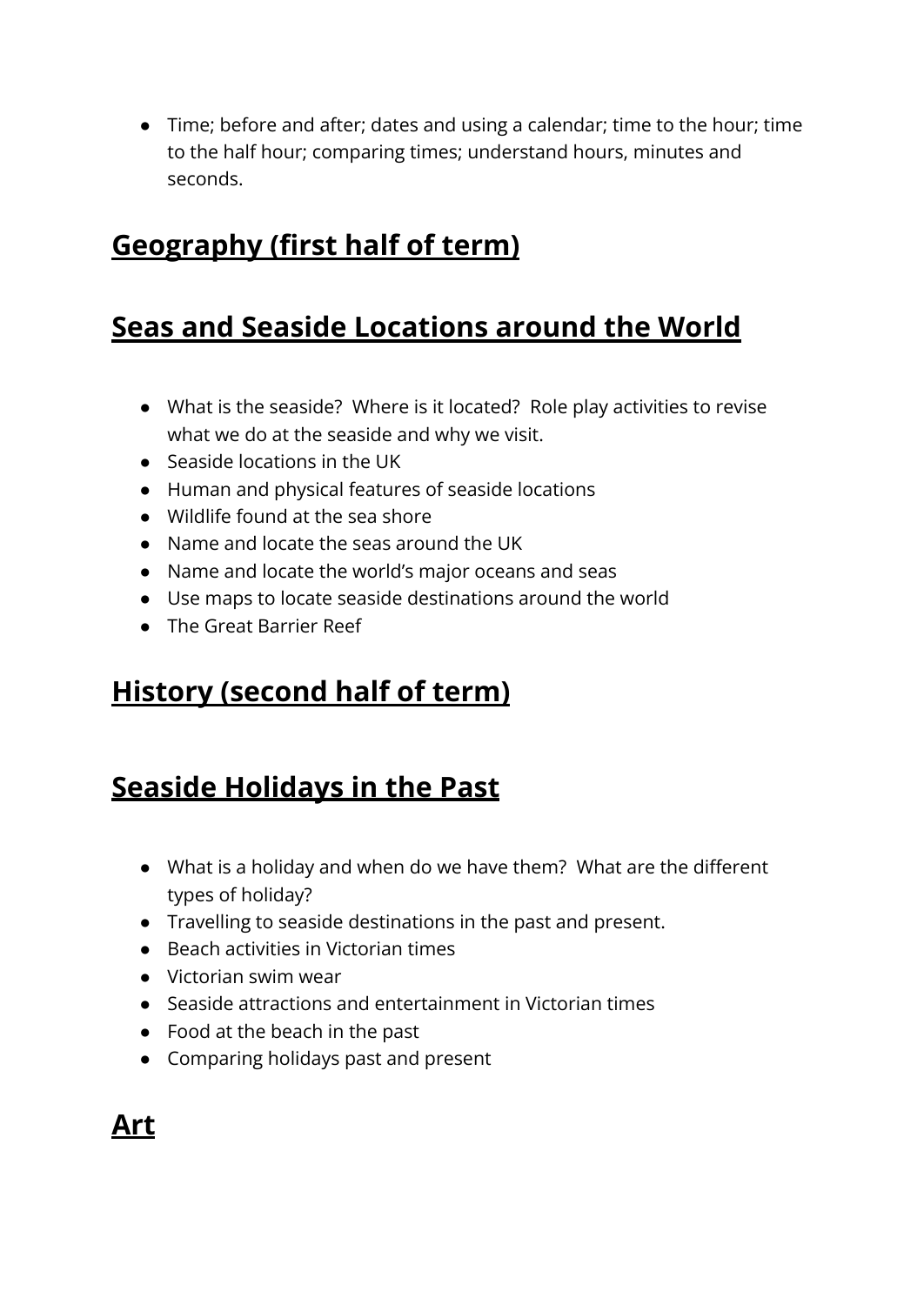● Time; before and after; dates and using a calendar; time to the hour; time to the half hour; comparing times; understand hours, minutes and seconds.

# **Geography (first half of term)**

### **Seas and Seaside Locations around the World**

- What is the seaside? Where is it located? Role play activities to revise what we do at the seaside and why we visit.
- Seaside locations in the UK
- Human and physical features of seaside locations
- Wildlife found at the sea shore
- Name and locate the seas around the UK
- Name and locate the world's major oceans and seas
- Use maps to locate seaside destinations around the world
- The Great Barrier Reef

### **History (second half of term)**

# **Seaside Holidays in the Past**

- What is a holiday and when do we have them? What are the different types of holiday?
- Travelling to seaside destinations in the past and present.
- Beach activities in Victorian times
- Victorian swim wear
- Seaside attractions and entertainment in Victorian times
- $\bullet$  Food at the beach in the past
- Comparing holidays past and present

# **Art**